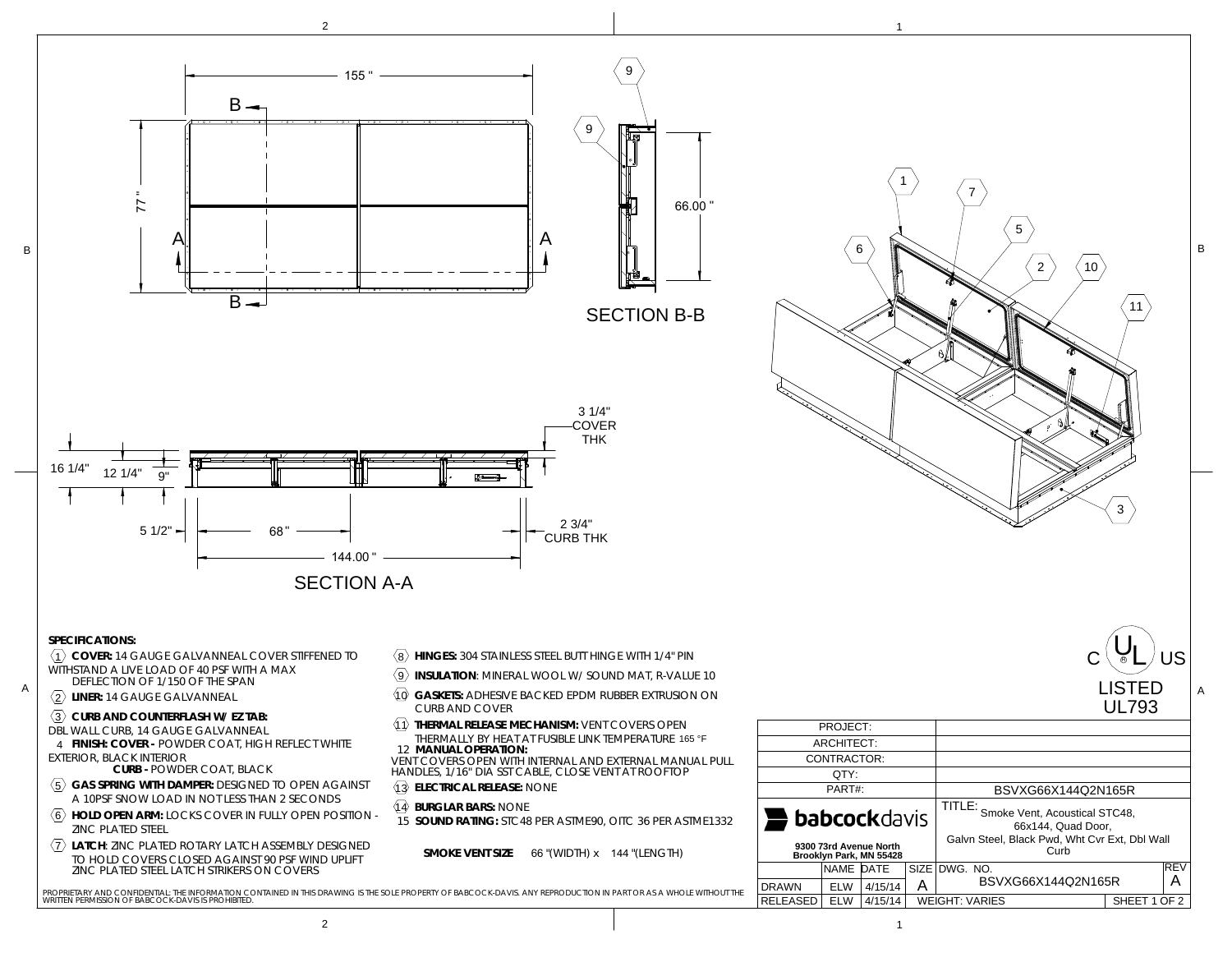